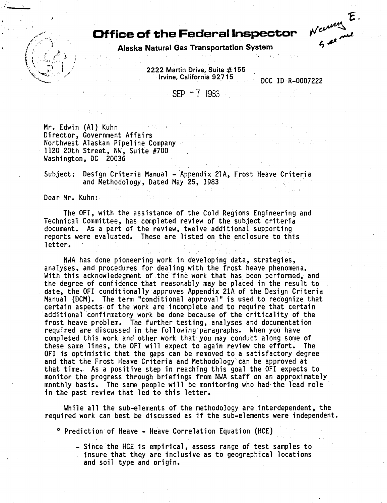## **Office of the Federal Inspector**



Alaska Natural Gas Transportation System

2222 Martin Drive, Suite  $#155$ Irvine, California 92715 DOC ID R-0007222

SEP -7 1983

Mr. Edwin {Al) Kuhn Director, Government Affairs Northwest Alaskan Pipeline Company 1120 20th Street, NW, Suite #700 Washington, DC 20036

Subject: Design Criteria Manual - Appendix 21A, Frost Heave Criteria and Methodology, Dated May 25, 1983

Dear Mr. Kuhn:

. ·------- . •

The OFI, with the assistance of the Cold Regions Engineering and Technical Committee, has completed review of the subject criteria document. As a part of the review, twelve additional supporting reports were evaluated. These are listed on the enclosure to this letter.

NWA has done pioneering work in developing data, strategies,<br>analyses, and procedures for dealing with the frost heave phenomena. With this acknowledegment of the fine work that has been performed, and the degree of confidence that reasonably may be placed in the result to date, the OFI conditionally approves Appendix 21A of the Design Criteria Manual (DCM). The term "conditional approval" is used to recognize that certain aspects of the work are incomplete and to require that certain additional confirmatory work be done because of the criticality of the frost heave problem. The further testing, analyses and documentation required are discussed in the following paragraphs. When you have completed this work and other work that you may conduct along some of these same lines, the OFI will expect to again review the effort. The OFI is optimistic that the gaps can be removed to a satisfactory degree and that the Frost Heave Criteria and Methodology can be approved at that time. As a positive step in reaching this goal the OFI expects to<br>monitor the progress through briefings from NWA staff on an approximately monthly basis. The same people will be monitoring who had the lead role in the past review that led to this letter.

While all the sub-elements of the methodo]ogy are interdependent, the required work can best be discussed as if the sub-elements were independent.

o Prediction of Heave - Heave Correlation Equation {HCE)

-Since the HCE is empirical, assess range of test samples to insure that they are inclusive as to geographical locations and soil type and origin.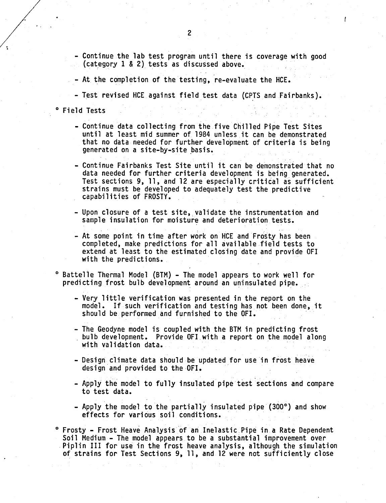- Continue the lab test program until there is coverage with good (category 1 & 2) tests as discussed above.
- At. the completion of the testing, re-evaluate the HCE.
- Test revised HCE against field test data (CPTS and Fairbanks).
- o Field Tests
	- Continue data collecting from the five Chilled Pipe Test Sites until at least mid summer of 1984 unless it can be demonstrated that no data needed for further development of criteria is being generated on a site-by-site basis.
	- Continue Fairbanks Test Site until it can be demonstrated that no data needed for further criteria development is being generated. Test sections 9, 11, and 12 are especially critical as sufficient strains must be developed to adequately test the predictive capabilities of FROSTY.
	- Upon closure of a test site, validate the instrumentation and sample insulation for moisture and deterioration tests.
	- At some point in time after work on HCE and Frosty has been completed, make predictions for all available field tests to extend at least to the estimated closing date and provide OFI with the predictions.
- 0 Battelle Thermal Model (BTM) The model appears to work well for predicting frost bulb development around an uninsulated pipe.
	- Very little verification was presented in the report on the model. If such verification and testing has not been done, it should be performed and furnished to the OFI.
	- The Geodyne model is coupled with the BTM in predicting frost<br>bulb development. Provide OFI with a report on the model along<br>with validation data.
	- Design climate data should be updated for use in frost heave design and provided to the OFI.
	- Apply the model to fully insulated pipe test sections and compare to test data.
	- Apply the model to the partially insulated pipe (300°) and show effects for various soil conditions.
- ° Frosty Frost Heave Analysis of an Inelastic Pipe in a Rate Dependent<br>Soil Medium The model appears to be a substantial improvement over Piplin III for use in the frost heave analysis, although the simulation of strains for Test Sections 9, 11, and 12 were not sufficiently close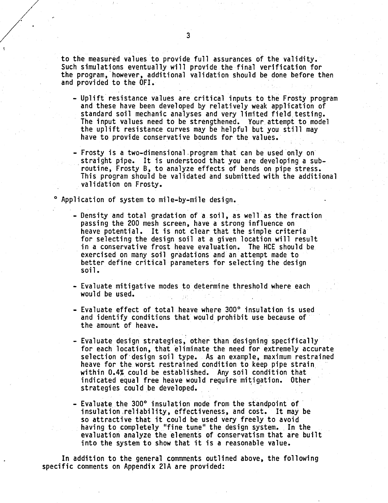to the measured values to provide full assurances of the validity. Such simulations eventually will provide the final verification for the program, however, additional validation should be done before then and provided to the OFI.

- Uplift resistance values are critical inputs to the Frosty program and these have been developed by relatively weak application of standard soil mechanic analyses and very limited field testing.<br>The input values need to be strengthened. Your attempt to model the uplift resistance curves may be helpful but you still may have to provide conservative bounds for the values.
- -Frosty is a two-dimensional.program that can be used only on straight pipe. It is understood that you are developing a subroutine, Frosty B, to analyze effects of bends on pipe stress. This program should be validated and submitted with the additional validation on Frosty.

Application of system to mile-by-mile design.

- Density and total gradation of a soil, as well as the fraction passing the 200 mesh screen, have a strong influence on heave potential. It is not clear that the simple criteria for selecting the design soil at a given location will result in a conservative frost heave evaluation. The HCE should be exercised on many soil gradations and an attempt made to better define critical parameters for selecting the design soil.
- Evaluate mitigative modes to determine threshold where each would be used.
- Evaluate effect of total heave where 300° insulation is used and identify conditions that would prohibit use because of· the amount of heave.
- $\ddot{\phantom{a}}$ - Evaluate design strategies, other than designing specifically<br>for each location, that eliminate the need for extremely accurate selection of design soil type. As an example, maximum restrained heave for the worst restrained condition to keep pipe strain. within 0.4% could be established. Any soil condition that indicated equal free heave would require mitigation. Other strategies could be developed.
- Evaluate the 300° insulation mode from the standpoint of<br>insulation reliability, effectiveness, and cost. It may be so attractive that it could be used very freely to avoid having to completely "fine tune" the design system. In the evaluation analyze the elements of conservatism that are built into the system to show that it is a reasonable value.

In addition to the general commments outlined above, the following specific comments on Appendix 21A are provided: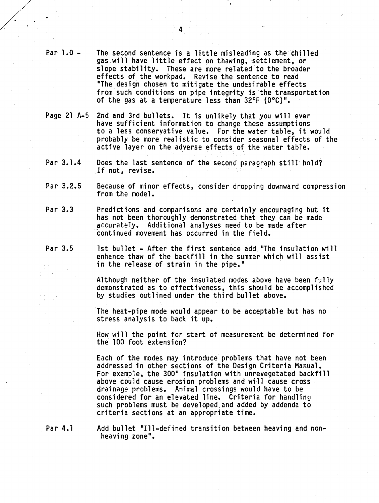- Par 1.0- The second sentence is a little misleading as the chilled gas will have little effect on thawing, settlement, or slope stability. These are more related to the broader effects of the workpad. Revise the sentence to read "The design chosen to mitigate the undesirable effects from such conditions on pipe integrity is the transportation of the gas at a temperature less than  $32^{\circ}F$  (0°C)".
- Page 21 A-5 2nd and 3rd bullets. It is unlikely that you will ever have sufficient information to change these assumptions to a less conservative value. For the water table, it would probably be more realistic to consider seasonal effects of the active layer on the adverse effects of the water table.
- Par 3.1.4 Does the last sentence of the second paragraph still hold? If not, revise.
- Par 3.2.5 Because of minor effects, consider dropping downward compression<br>from the model.
- Par 3.3 Predictions and comparisons are certainly encouraging but it has not been thoroughly demonstrated that they can be made accurately. Additional analyses need to be made after continued movement has occurred in the field.
- Par 3.5 1st bullet After the first sentence add "The insulation will enhance thaw of the backfill in the summer which will assist in the release of strain in the pipe."

Although neither of the insulated modes above have been fully demonstrated as to effectiveness, this should be accomplished by studies outlined under the third bullet above.

The heat-pipe mode would appear to be acceptable but has no stress analysis to back it up.

How will the point for start of measurement be determined for the 100 foot extension?

Each of the modes may introduce problems that have not been addressed in other sections of the Design Criteria Manual. For example, the 300° insulation with unrevegetated backfill above could cause erosion problems and will cause cross drainage problems. Animal crossings would have to be considered for an elevated line. Criteria for handling such problems must be developed.and added by addenda to criteria sections at an appropriate time.

Par 4.1 Add bullet "Ill-defined transition between heaving and nonheaving zone".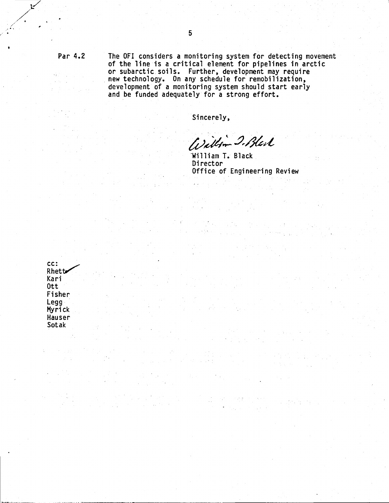Par 4.2

The OFI considers a monitoring system for detecting movement of the line is a critical element for pipelines in arctic or subarctic soils. Further, development may require<br>new technology. On any schedule for remobilization, development of a monitoring system should start early and be funded adequately for a strong effort.

Sincerely,

 $\mathcal{P}=\mathcal{P}(\mathcal{P},\mathcal{Q})$ 

 $\frac{1}{2}$  , where  $\frac{1}{2}$ 

 $\mathcal{L}$ 

 $\label{eq:2.1} \begin{split} \mathcal{L}_{\text{max}}(\mathcal{A}) & = \mathcal{L}_{\text{max}}(\mathcal{A}) \left[ \mathcal{L}_{\text{max}}(\mathcal{A}) - \mathcal{L}_{\text{max}}(\mathcal{A}) \right] \left[ \mathcal{L}_{\text{max}}(\mathcal{A}) - \mathcal{L}_{\text{max}}(\mathcal{A}) \right] \left[ \mathcal{L}_{\text{max}}(\mathcal{A}) \right] \left[ \mathcal{L}_{\text{max}}(\mathcal{A}) \right] \left[ \mathcal{L}_{\text{max}}(\mathcal{A}) \right] \left[ \mathcal{L}_{\text{max}}(\mathcal{A$ 

 $\mathcal{L}^{\mathcal{L}}$ 

a ang P

 $\mathcal{L}^{\mathcal{A}}$ 

 $\mathcal{F}^{\text{max}}_{\text{max}}$  and  $\mathcal{F}^{\text{max}}_{\text{max}}$ 

 $\mathcal{L}^{\text{max}}_{\text{max}}$  , where  $\mathcal{L}^{\text{max}}_{\text{max}}$ 

William 2. Black

 $\frac{1}{2}$  ,  $\frac{1}{2}$  ,  $\frac{1}{2}$ 

William T. Black Director Office of Engineering Review

 $\mathcal{L}_{\text{max}}$  , where  $\mathcal{L}_{\text{max}}$  are the state of the state of  $\mathcal{L}_{\text{max}}$ 

 $\frac{d\mathbf{y}}{dt}$  is a signal

 $\label{eq:1} \mathcal{D}(\mathcal{C}) = \mathcal{D}(\mathcal{C}) = \mathcal{D}(\mathcal{C}) = \mathcal{D}(\mathcal{C})$  $\label{eq:2.1} \mathcal{L}(\mathcal{L}^{\mathcal{A}}_{\mathcal{A}}(\mathcal{A}^{\mathcal{A}}_{\mathcal{A}})) = \mathcal{L}(\mathcal{L}^{\mathcal{A}}_{\mathcal{A}}(\mathcal{A}^{\mathcal{A}}_{\mathcal{A}})) = \mathcal{L}(\mathcal{L}^{\mathcal{A}}_{\mathcal{A}}(\mathcal{A}^{\mathcal{A}}_{\mathcal{A}})) = \mathcal{L}(\mathcal{A}^{\mathcal{A}}_{\mathcal{A}}(\mathcal{A}^{\mathcal{A}}_{\mathcal{A}}))$ 

 $\frac{1}{2} \frac{1}{2} \sum_{i=1}^{n} \frac{1}{2} \sum_{i=1}^{n} \frac{1}{2} \sum_{i=1}^{n} \frac{1}{2} \sum_{i=1}^{n} \frac{1}{2} \sum_{i=1}^{n} \frac{1}{2} \sum_{i=1}^{n} \frac{1}{2} \sum_{i=1}^{n} \frac{1}{2} \sum_{i=1}^{n} \frac{1}{2} \sum_{i=1}^{n} \frac{1}{2} \sum_{i=1}^{n} \frac{1}{2} \sum_{i=1}^{n} \frac{1}{2} \sum_{i=1}^{n} \frac{1}{2} \sum$ 

 $\sim 10^7$ 

(4) 法保险人的

CC: Rhett Kari 0tt Fisher Legg Myrick Hauser Sotak